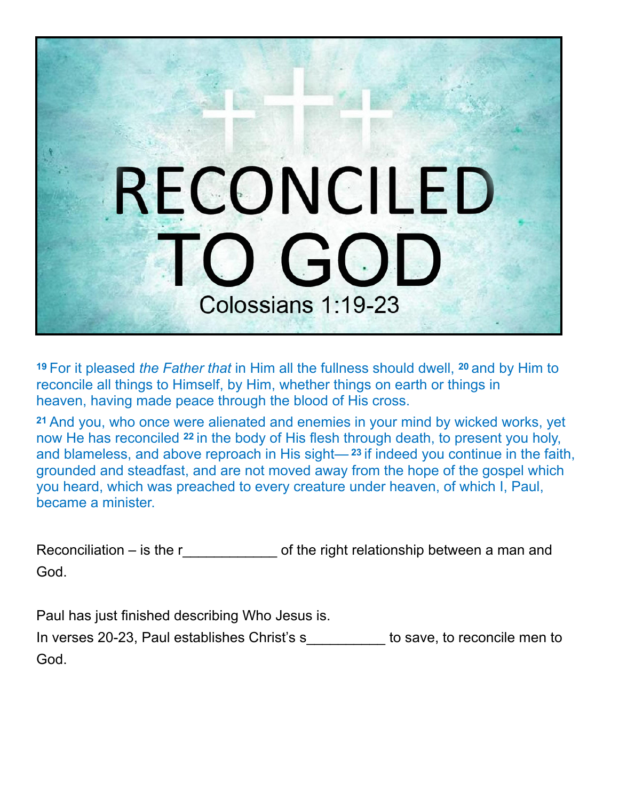

**<sup>19</sup>**For it pleased *the Father that* in Him all the fullness should dwell, **20** and by Him to reconcile all things to Himself, by Him, whether things on earth or things in heaven, having made peace through the blood of His cross.

**<sup>21</sup>**And you, who once were alienated and enemies in your mind by wicked works, yet now He has reconciled **22** in the body of His flesh through death, to present you holy, and blameless, and above reproach in His sight— **<sup>23</sup>**if indeed you continue in the faith, grounded and steadfast, and are not moved away from the hope of the gospel which you heard, which was preached to every creature under heaven, of which I, Paul, became a minister.

Reconciliation – is the r  $\qquad \qquad$  of the right relationship between a man and God.

Paul has just finished describing Who Jesus is.

| In verses 20-23, Paul establishes Christ's s | to save, to reconcile men to |
|----------------------------------------------|------------------------------|
| God.                                         |                              |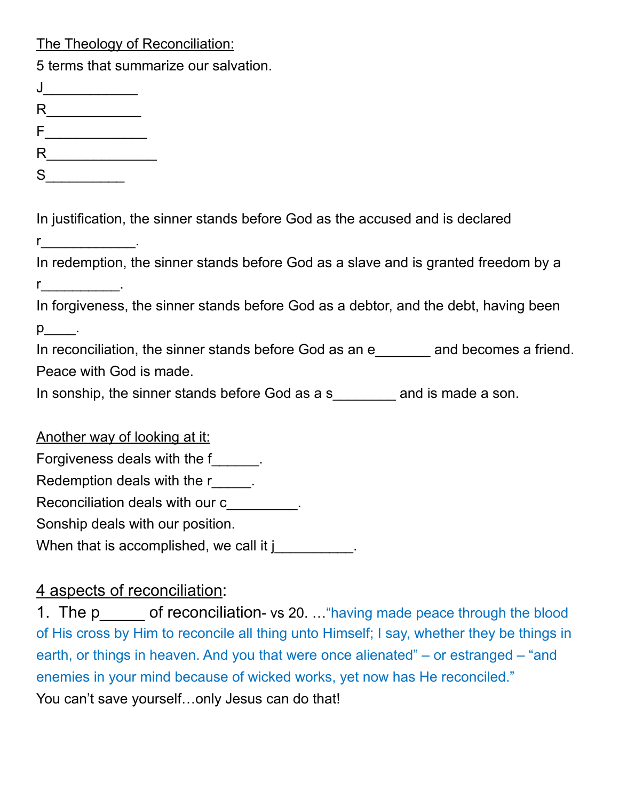The Theology of Reconciliation:

| 5 terms that summarize our salvation.                                                                                                                                                                                                                                                                                                                                                       |
|---------------------------------------------------------------------------------------------------------------------------------------------------------------------------------------------------------------------------------------------------------------------------------------------------------------------------------------------------------------------------------------------|
| $\begin{picture}(20,20) \put(0,0){\dashbox{0.5}(5,0){ }} \put(15,0){\circle{10}} \put(15,0){\circle{10}} \put(15,0){\circle{10}} \put(15,0){\circle{10}} \put(15,0){\circle{10}} \put(15,0){\circle{10}} \put(15,0){\circle{10}} \put(15,0){\circle{10}} \put(15,0){\circle{10}} \put(15,0){\circle{10}} \put(15,0){\circle{10}} \put(15,0){\circle{10}} \put(15,0){\circle{10}} \put(15,0$ |
|                                                                                                                                                                                                                                                                                                                                                                                             |
| $F_{\underbrace{\phantom{135}}\phantom{135}}$                                                                                                                                                                                                                                                                                                                                               |
|                                                                                                                                                                                                                                                                                                                                                                                             |
| S                                                                                                                                                                                                                                                                                                                                                                                           |
| In justification, the sinner stands before God as the accused and is declared                                                                                                                                                                                                                                                                                                               |
| $\mathbf{r}$ . The set of $\mathbf{r}$ is the set of $\mathbf{r}$                                                                                                                                                                                                                                                                                                                           |
| In redemption, the sinner stands before God as a slave and is granted freedom by a                                                                                                                                                                                                                                                                                                          |
| $r_{\underline{\hspace{1cm}}}$ .                                                                                                                                                                                                                                                                                                                                                            |
| In forgiveness, the sinner stands before God as a debtor, and the debt, having been                                                                                                                                                                                                                                                                                                         |
| $p$ .                                                                                                                                                                                                                                                                                                                                                                                       |
| In reconciliation, the sinner stands before God as an e_______ and becomes a friend.                                                                                                                                                                                                                                                                                                        |
| Peace with God is made.                                                                                                                                                                                                                                                                                                                                                                     |
| In sonship, the sinner stands before God as a s________ and is made a son.                                                                                                                                                                                                                                                                                                                  |
| Another way of looking at it:                                                                                                                                                                                                                                                                                                                                                               |
| Forgiveness deals with the f______.                                                                                                                                                                                                                                                                                                                                                         |
| Redemption deals with the ringle part of the ring of the state of the ring of the Redemond Point Red                                                                                                                                                                                                                                                                                        |
| Reconciliation deals with our c_________.                                                                                                                                                                                                                                                                                                                                                   |
| Sonship deals with our position.                                                                                                                                                                                                                                                                                                                                                            |
| When that is accomplished, we call it j                                                                                                                                                                                                                                                                                                                                                     |

## 4 aspects of reconciliation:

1. The p\_equal of reconciliation- vs 20. ... "having made peace through the blood of His cross by Him to reconcile all thing unto Himself; I say, whether they be things in earth, or things in heaven. And you that were once alienated" – or estranged – "and enemies in your mind because of wicked works, yet now has He reconciled." You can't save yourself...only Jesus can do that!